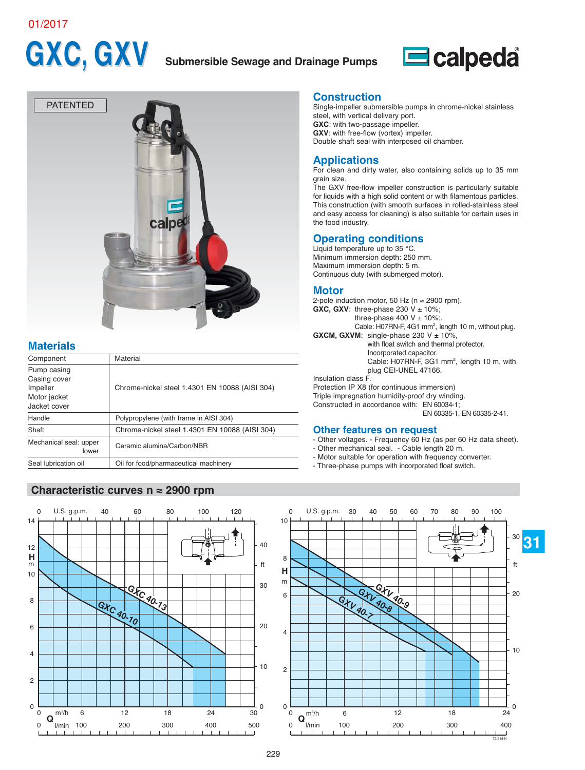#### 01/2017

# **GXC, GXV Submersible Sewage and Drainage Pumps**





# **Materials**

| Component                                                               | Material                                       |
|-------------------------------------------------------------------------|------------------------------------------------|
| Pump casing<br>Casing cover<br>Impeller<br>Motor jacket<br>Jacket cover | Chrome-nickel steel 1.4301 EN 10088 (AISI 304) |
| Handle                                                                  | Polypropylene (with frame in AISI 304)         |
| Shaft                                                                   | Chrome-nickel steel 1.4301 EN 10088 (AISI 304) |
| Mechanical seal: upper<br>lower                                         | Ceramic alumina/Carbon/NBR                     |
| Seal lubrication oil                                                    | Oil for food/pharmaceutical machinery          |

## **Characteristic curves n ≈ 2900 rpm**



#### **Construction**

Single-impeller submersible pumps in chrome-nickel stainless steel, with vertical delivery port. **GXC**: with two-passage impeller. **GXV**: with free-flow (vortex) impeller. Double shaft seal with interposed oil chamber.

#### **Applications**

For clean and dirty water, also containing solids up to 35 mm grain size.

The GXV free-flow impeller construction is particularly suitable for liquids with a high solid content or with filamentous particles. This construction (with smooth surfaces in rolled-stainless steel and easy access for cleaning) is also suitable for certain uses in the food industry.

#### **Operating conditions**

Liquid temperature up to 35 °C. Minimum immersion depth: 250 mm. Maximum immersion depth: 5 m. Continuous duty (with submerged motor).

#### **Motor**

2-pole induction motor, 50 Hz ( $n \approx 2900$  rpm). **GXC, GXV:** three-phase 230  $V \pm 10\%$ ; three-phase 400 V  $\pm$  10%; Cable: H07RN-F, 4G1 mm<sup>2</sup>, length 10 m, without plug. **GXCM, GXVM:** single-phase 230  $V \pm 10\%$ , with float switch and thermal protector. Incorporated capacitor. Cable: H07RN-F, 3G1 mm<sup>2</sup>, length 10 m, with plug CEI-UNEL 47166.

Insulation class F.

Protection IP X8 (for continuous immersion) Triple impregnation humidity-proof dry winding. Constructed in accordance with: EN 60034-1; EN 60335-1, EN 60335-2-41.

#### **Other features on request**

- Other voltages. Frequency 60 Hz (as per 60 Hz data sheet).
- Other mechanical seal. Cable length 20 m.
- Motor suitable for operation with frequency converter.
- Three-phase pumps with incorporated float switch.

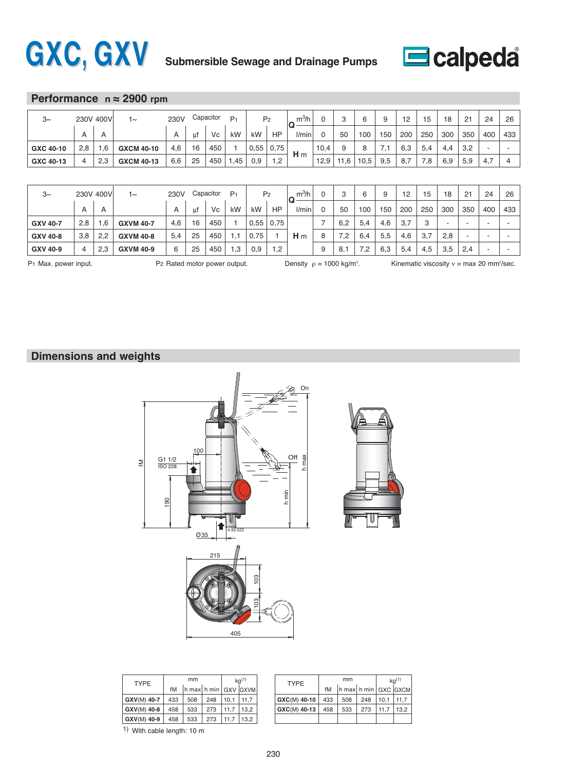



### **Performance n ≈ 2900 rpm**

| $3\sim$   | 230V 400V |              | $\sim$            | 230V           |     | Capacitor<br>D, |     | P <sub>2</sub> |      | $m^3/h$<br>IG. |      | C<br>ັ |      | ч   | 12  | 15  | 18  | 21  | 24  | 26  |
|-----------|-----------|--------------|-------------------|----------------|-----|-----------------|-----|----------------|------|----------------|------|--------|------|-----|-----|-----|-----|-----|-----|-----|
|           | A         | $\mathsf{A}$ |                   | $\overline{A}$ | -ul | Vc              | kW  | kW             | HP   | l/min          |      | 50     | 100  | 150 | 200 | 250 | 300 | 350 | 400 | 433 |
| GXC 40-10 | 2,8       |              | <b>GXCM 40-10</b> | 4,6            | 16  | 450             |     | 0,55           | 0.75 |                | 10,4 | 9      |      | 1,1 | 6,3 | 5,4 | 4.4 | 3,2 |     |     |
| GXC 40-13 | 4         | 2.3          | <b>GXCM 40-13</b> | 6,6            | 25  | 450             | .45 | 0.9            | 1,2  | H <sub>m</sub> | 12,9 | 11,6   | c.ui | 9,5 | 8.5 | 7,8 | 6,9 | 5,9 | 4.7 |     |

| $3\sim$         | 230V 400V |                         | $\sim$           | 230V           |    | Capacitor | P <sub>1</sub> | P <sub>2</sub> |            | m <sup>3</sup> /h<br>IQ |   | ົ<br>ت | 6   | 9   | 12  | 15  | 18  | 21  | 24  | 26  |
|-----------------|-----------|-------------------------|------------------|----------------|----|-----------|----------------|----------------|------------|-------------------------|---|--------|-----|-----|-----|-----|-----|-----|-----|-----|
|                 | A         | $\overline{\mathsf{A}}$ |                  | $\overline{A}$ | ut | Vc        | kW             | kW             | HP         | l/min                   |   | 50     | 100 | 150 | 200 | 250 | 300 | 350 | 400 | 433 |
| <b>GXV 40-7</b> | 2,8       | .6                      | <b>GXVM 40-7</b> | 4,6            | 16 | 450       |                | 0.55           | 0,75       |                         |   | 6,2    | 5,4 | 4,6 | 3,7 | 3   |     |     | -   |     |
| GXV 40-8        | 3,8       | 2,2                     | <b>GXVM 40-8</b> | 5,4            | 25 | 450       |                | 0.75           |            | H <sub>m</sub>          |   | 2.'    | 6,4 | 5,5 | 4,6 | 3,7 | 2,8 |     |     |     |
| GXV 40-9        | 4         | 2,3                     | <b>GXVM 40-9</b> | 6              | 25 | 450       | .3             | 0,9            | $\cdot$ .2 |                         | 9 | 8,1    | റ   | 6,3 | 5,4 | 4,5 | 3,5 | 2,4 |     |     |

Density  $\rho = 1000 \text{ kg/m}^3$ .

P1 Max. power input.  $P_2$  Rated motor power output. Density  $\rho = 1000$  kg/m<sup>3</sup>. Kinematic viscosity  $v = max 20$  mm<sup>2</sup>/sec.

# **Dimensions and weights**



|  | <b>TYPE</b> |     | mm                                                 |     |      | $kq^{(1)}$ | <b>TYPE</b> |
|--|-------------|-----|----------------------------------------------------|-----|------|------------|-------------|
|  |             | fM  | $\ln \max \left  h \min \right $ GXV $\left $ GXVM |     |      |            |             |
|  | GXV(M) 40-7 | 433 | 508                                                | 248 | 10.1 | 11.7       | $GXC(M)$ 4  |
|  | GXV(M) 40-8 | 458 | 533                                                | 273 | 11.7 | 13.2       | $GXC(M)$ 4  |
|  | GXV(M) 40-9 | 458 | 533                                                | 273 | 11.7 | 13.2       |             |
|  | $\cdots$    |     |                                                    |     |      |            |             |

| mm  |                      |     |      | $kq^{(1)}$ | <b>TYPE</b>  |     | mm                                                 | $kq^{(1)}$ |      |      |
|-----|----------------------|-----|------|------------|--------------|-----|----------------------------------------------------|------------|------|------|
| fM  | h max h min GXV GXVM |     |      |            |              | fM  | $\ln \max \ln \min \vert$ GXC $\vert$ GXCM $\vert$ |            |      |      |
| 133 | 508                  | 248 | 10.1 | 11.7       | GXC(M) 40-10 | 433 | 508                                                | 248        | 10.1 |      |
| 158 | 533                  | 273 | 11.7 | 13.2       | GXC(M) 40-13 | 458 | 533                                                | 273        | 11.7 | 13.2 |
| 158 | 533                  | 273 | 11.7 | 13.2       |              |     |                                                    |            |      |      |

1) With cable length: 10 m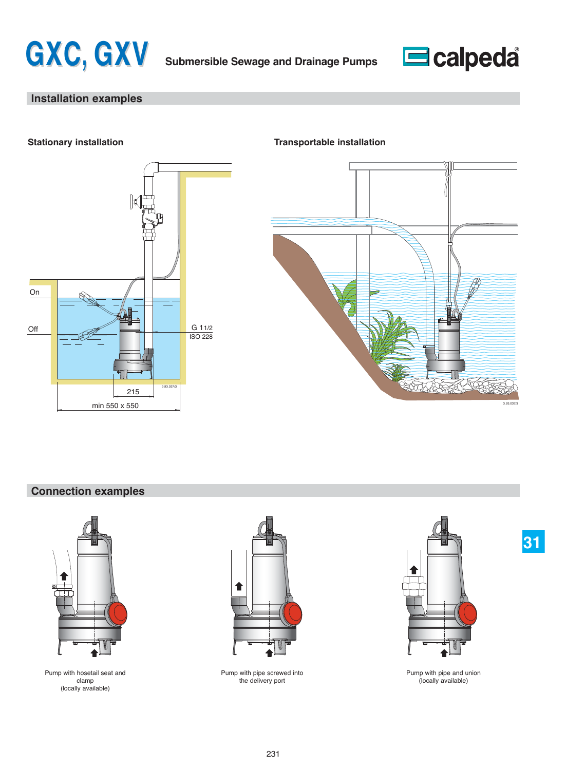



# **Installation examples**



#### **Stationary installation Transportable installation**



# **Connection examples**



Pump with hosetail seat and clamp (locally available)



Pump with pipe screwed into the delivery port



**31**

Pump with pipe and union (locally available)

231